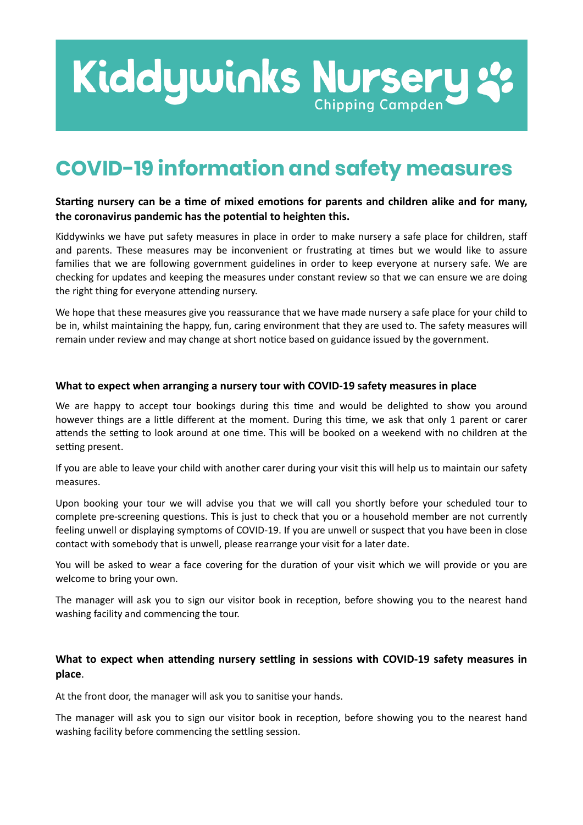# Kiddywinks Nursery **Chipping Campden**

# **COVID-19 information and safety measures**

## Starting nursery can be a time of mixed emotions for parents and children alike and for many, the coronavirus pandemic has the potential to heighten this.

Kiddywinks we have put safety measures in place in order to make nursery a safe place for children, staff and parents. These measures may be inconvenient or frustrating at times but we would like to assure families that we are following government guidelines in order to keep everyone at nursery safe. We are checking for updates and keeping the measures under constant review so that we can ensure we are doing the right thing for everyone attending nursery.

We hope that these measures give you reassurance that we have made nursery a safe place for your child to be in, whilst maintaining the happy, fun, caring environment that they are used to. The safety measures will remain under review and may change at short notice based on guidance issued by the government.

#### **What to expect when arranging a nursery tour with COVID-19 safety measures in place**

We are happy to accept tour bookings during this time and would be delighted to show you around however things are a little different at the moment. During this time, we ask that only 1 parent or carer attends the setting to look around at one time. This will be booked on a weekend with no children at the setting present.

If you are able to leave your child with another carer during your visit this will help us to maintain our safety measures.

Upon booking your tour we will advise you that we will call you shortly before your scheduled tour to complete pre-screening questions. This is just to check that you or a household member are not currently feeling unwell or displaying symptoms of COVID-19. If you are unwell or suspect that you have been in close contact with somebody that is unwell, please rearrange your visit for a later date.

You will be asked to wear a face covering for the duration of your visit which we will provide or you are welcome to bring your own.

The manager will ask you to sign our visitor book in reception, before showing you to the nearest hand washing facility and commencing the tour.

## What to expect when attending nursery settling in sessions with COVID-19 safety measures in **place**.

At the front door, the manager will ask you to sanitise your hands.

The manager will ask you to sign our visitor book in reception, before showing you to the nearest hand washing facility before commencing the settling session.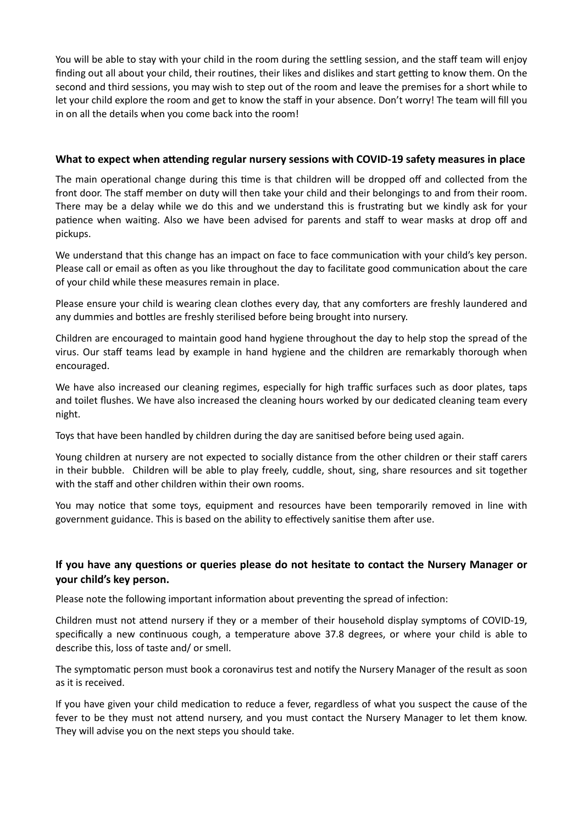You will be able to stay with your child in the room during the settling session, and the staff team will enjoy finding out all about your child, their routines, their likes and dislikes and start getting to know them. On the second and third sessions, you may wish to step out of the room and leave the premises for a short while to let your child explore the room and get to know the staff in your absence. Don't worry! The team will fill you in on all the details when you come back into the room!

#### What to expect when attending regular nursery sessions with COVID-19 safety measures in place

The main operational change during this time is that children will be dropped off and collected from the front door. The staff member on duty will then take your child and their belongings to and from their room. There may be a delay while we do this and we understand this is frustrating but we kindly ask for your patience when waiting. Also we have been advised for parents and staff to wear masks at drop off and pickups.

We understand that this change has an impact on face to face communication with your child's key person. Please call or email as often as you like throughout the day to facilitate good communication about the care of your child while these measures remain in place.

Please ensure your child is wearing clean clothes every day, that any comforters are freshly laundered and any dummies and bottles are freshly sterilised before being brought into nursery.

Children are encouraged to maintain good hand hygiene throughout the day to help stop the spread of the virus. Our staff teams lead by example in hand hygiene and the children are remarkably thorough when encouraged.

We have also increased our cleaning regimes, especially for high traffic surfaces such as door plates, taps and toilet flushes. We have also increased the cleaning hours worked by our dedicated cleaning team every night.

Toys that have been handled by children during the day are sanitised before being used again.

Young children at nursery are not expected to socially distance from the other children or their staff carers in their bubble. Children will be able to play freely, cuddle, shout, sing, share resources and sit together with the staff and other children within their own rooms.

You may notice that some toys, equipment and resources have been temporarily removed in line with government guidance. This is based on the ability to effectively sanitise them after use.

# If you have any questions or queries please do not hesitate to contact the Nursery Manager or **your child's key person.**

Please note the following important information about preventing the spread of infection:

Children must not attend nursery if they or a member of their household display symptoms of COVID-19, specifically a new continuous cough, a temperature above 37.8 degrees, or where your child is able to describe this, loss of taste and/ or smell.

The symptomatic person must book a coronavirus test and notify the Nursery Manager of the result as soon as it is received.

If you have given your child medication to reduce a fever, regardless of what you suspect the cause of the fever to be they must not attend nursery, and you must contact the Nursery Manager to let them know. They will advise you on the next steps you should take.